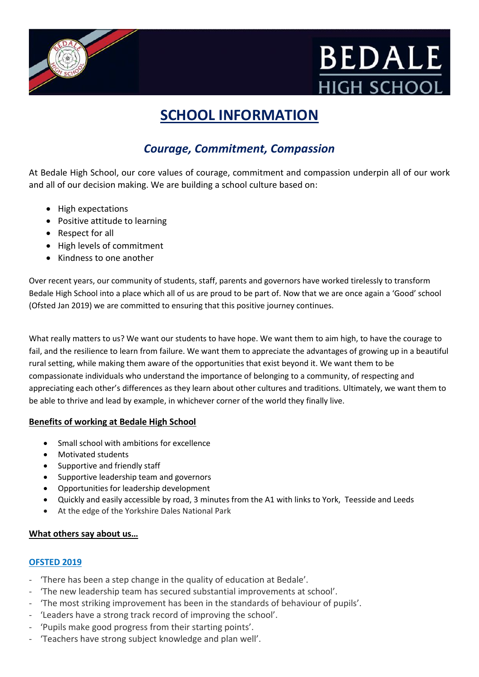



# **SCHOOL INFORMATION**

## *Courage, Commitment, Compassion*

At Bedale High School, our core values of courage, commitment and compassion underpin all of our work and all of our decision making. We are building a school culture based on:

- High expectations
- Positive attitude to learning
- Respect for all
- High levels of commitment
- Kindness to one another

Over recent years, our community of students, staff, parents and governors have worked tirelessly to transform Bedale High School into a place which all of us are proud to be part of. Now that we are once again a 'Good' school (Ofsted Jan 2019) we are committed to ensuring that this positive journey continues.

What really matters to us? We want our students to have hope. We want them to aim high, to have the courage to fail, and the resilience to learn from failure. We want them to appreciate the advantages of growing up in a beautiful rural setting, while making them aware of the opportunities that exist beyond it. We want them to be compassionate individuals who understand the importance of belonging to a community, of respecting and appreciating each other's differences as they learn about other cultures and traditions. Ultimately, we want them to be able to thrive and lead by example, in whichever corner of the world they finally live.

#### **Benefits of working at Bedale High School**

- Small school with ambitions for excellence
- Motivated students
- Supportive and friendly staff
- Supportive leadership team and governors
- Opportunities for leadership development
- Quickly and easily accessible by road, 3 minutes from the A1 with links to York, Teesside and Leeds
- At the edge of the Yorkshire Dales National Park

#### **What others say about us…**

#### **OFSTED 2019**

- 'There has been a step change in the quality of education at Bedale'.
- 'The new leadership team has secured substantial improvements at school'.
- 'The most striking improvement has been in the standards of behaviour of pupils'.
- 'Leaders have a strong track record of improving the school'.
- 'Pupils make good progress from their starting points'.
- 'Teachers have strong subject knowledge and plan well'.